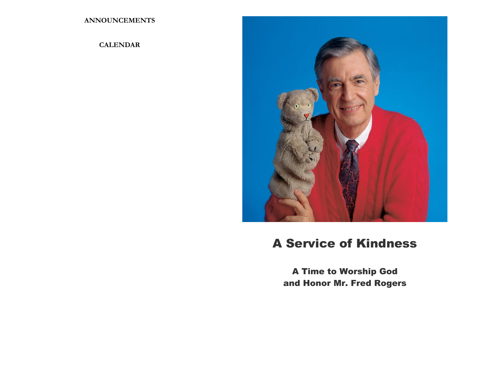**ANNOUNCEMENTS**

# **CALENDAR**



# A Service of Kindness

A Time to Worship God and Honor Mr. Fred Rogers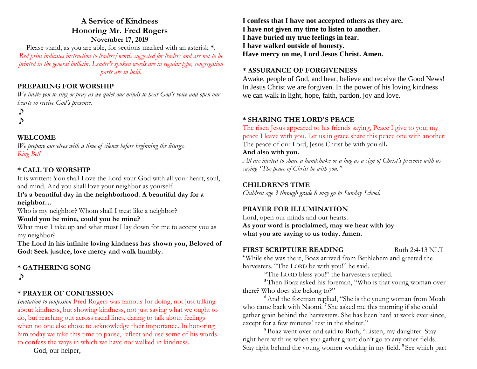# **A Service of Kindness Honoring Mr. Fred Rogers November 17, 2019**

Please stand, as you are able, for sections marked with an asterisk **\***. *Red print indicates instruction to leaders/words suggested for leaders and are not to be printed in the general bulletin. Leader's spoken words are in regular type, congregation parts are in bold.*

## **PREPARING FOR WORSHIP**

*We invite you to sing or pray as we quiet our minds to hear God's voice and open our hearts to receive God's presence.*

♪ ♪

### **WELCOME**

*We prepare ourselves with a time of silence before beginning the liturgy. Ring Bell*

### **\* CALL TO WORSHIP**

It is written: You shall Love the Lord your God with all your heart, soul, and mind. And you shall love your neighbor as yourself.

#### **It's a beautiful day in the neighborhood. A beautiful day for a neighbor…**

Who is my neighbor? Whom shall I treat like a neighbor?

#### **Would you be mine, could you be mine?**

What must I take up and what must I lay down for me to accept you as my neighbor?

**The Lord in his infinite loving kindness has shown you, Beloved of God: Seek justice, love mercy and walk humbly.**

#### **\* GATHERING SONG**  ♪

#### **\* PRAYER OF CONFESSION**

*Invitation to confession* Fred Rogers was famous for doing, not just talking about kindness, but showing kindness, not just saying what we ought to do, but reaching out across racial lines, daring to talk about feelings when no one else chose to acknowledge their importance. In honoring him today we take this time to pause, reflect and use some of his words to confess the ways in which we have not walked in kindness.

God, our helper,

**I confess that I have not accepted others as they are. I have not given my time to listen to another. I have buried my true feelings in fear. I have walked outside of honesty. Have mercy on me, Lord Jesus Christ. Amen.**

#### **\* ASSURANCE OF FORGIVENESS**

Awake, people of God, and hear, believe and receive the Good News! In Jesus Christ we are forgiven. In the power of his loving kindness we can walk in light, hope, faith, pardon, joy and love.

#### **\* SHARING THE LORD'S PEACE**

The risen Jesus appeared to his friends saying, Peace I give to you; my peace I leave with you. Let us in grace share this peace one with another: The peace of our Lord, Jesus Christ be with you all**.** 

#### **And also with you.**

*All are invited to share a handshake or a hug as a sign of Christ's presence with us saying "The peace of Christ be with you."*

#### **CHILDREN'S TIME**

*Children age 3 through grade 8 may go to Sunday School.*

#### **PRAYER FOR ILLUMINATION**

Lord, open our minds and our hearts. **As your word is proclaimed, may we hear with joy what you are saying to us today. Amen.**

#### **FIRST SCRIPTURE READING** Ruth 2:4-13 NLT

**<sup>4</sup>** While she was there, Boaz arrived from Bethlehem and greeted the harvesters. "The LORD be with you!" he said.

"The LORD bless you!" the harvesters replied.

**<sup>5</sup>**Then Boaz asked his foreman, "Who is that young woman over there? Who does she belong to?"

<sup>6</sup>And the foreman replied, "She is the young woman from Moab who came back with Naomi. **<sup>7</sup>** She asked me this morning if she could gather grain behind the harvesters. She has been hard at work ever since, except for a few minutes' rest in the shelter."

**<sup>8</sup>**Boaz went over and said to Ruth, "Listen, my daughter. Stay right here with us when you gather grain; don't go to any other fields. Stay right behind the young women working in my field. **<sup>9</sup>** See which part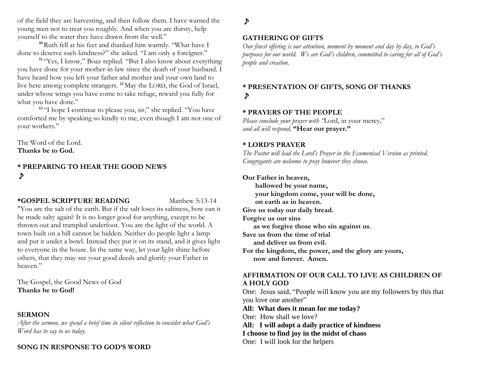of the field they are harvesting, and then follow them. I have warned the young men not to treat you roughly. And when you are thirsty, help yourself to the water they have drawn from the well."

**<sup>10</sup>**Ruth fell at his feet and thanked him warmly. "What have I done to deserve such kindness?" she asked. "I am only a foreigner."

**<sup>11</sup>** "Yes, I know," Boaz replied. "But I also know about everything you have done for your mother-in-law since the death of your husband. I have heard how you left your father and mother and your own land to live here among complete strangers. **<sup>12</sup>** May the LORD, the God of Israel, under whose wings you have come to take refuge, reward you fully for what you have done."

<sup>13</sup> "I hope I continue to please you, sir," she replied. "You have comforted me by speaking so kindly to me, even though I am not one of your workers."

The Word of the Lord. **Thanks be to God.**

**\* PREPARING TO HEAR THE GOOD NEWS** ♪

#### **\*GOSPEL SCRIPTURE READING** Matthew 5:13-14

"You are the salt of the earth. But if the salt loses its saltiness, how can it be made salty again? It is no longer good for anything, except to be thrown out and trampled underfoot. You are the light of the world. A town built on a hill cannot be hidden. Neither do people light a lamp and put it under a bowl. Instead they put it on its stand, and it gives light to everyone in the house. In the same way, let your light shine before others, that they may see your good deeds and glorify your Father in heaven."

The Gospel, the Good News of God **Thanks be to God!**

#### **SERMON**

*After the sermon, we spend a brief time in silent reflection to consider what God's Word has to say to us today.*

# **SONG IN RESPONSE TO GOD'S WORD**

# ♪

#### **GATHERING OF GIFTS**

*Our finest offering is our attention, moment by moment and day by day, to God's purposes for our world. We are God's children, committed to caring for all of God's people and creation.* 

# **\* PRESENTATION OF GIFTS, SONG OF THANKS**  ♪

### **\* PRAYERS OF THE PEOPLE**

*Please conclude your prayer with "*Lord, in your mercy," *and all will respond,* **"Hear our prayer."**

#### **\* LORD'S PRAYER**

*The Pastor will lead the Lord's Prayer in the Ecumenical Version as printed. Congregants are welcome to pray however they choose.*

### **Our Father in heaven,**

**hallowed be your name, your kingdom come, your will be done, on earth as in heaven. Give us today our daily bread. Forgive us our sins as we forgive those who sin against us**. **Save us from the time of trial and deliver us from evil. For the kingdom, the power, and the glory are yours, now and forever. Amen.**

### **AFFIRMATION OF OUR CALL TO LIVE AS CHILDREN OF A HOLY GOD**

One: Jesus said, "People will know you are my followers by this that you love one another"

**All: What does it mean for me today?**

One: How shall we love?

**All: I will adopt a daily practice of kindness I choose to find joy in the midst of chaos** One: I will look for the helpers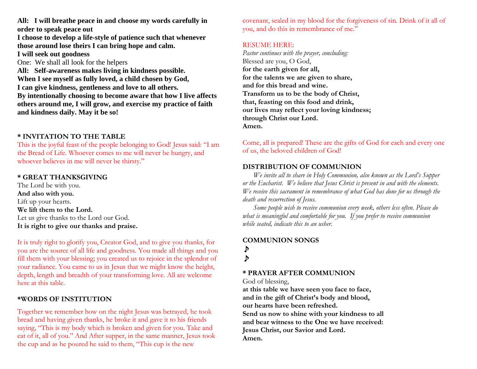**All: I will breathe peace in and choose my words carefully in order to speak peace out**

**I choose to develop a life-style of patience such that whenever those around lose theirs I can bring hope and calm. I will seek out goodness**

One: We shall all look for the helpers

**All: Self-awareness makes living in kindness possible. When I see myself as fully loved, a child chosen by God, I can give kindness, gentleness and love to all others. By intentionally choosing to become aware that how I live affects others around me, I will grow, and exercise my practice of faith and kindness daily. May it be so!**

# **\* INVITATION TO THE TABLE**

This is the joyful feast of the people belonging to God! Jesus said: "I am the Bread of Life. Whoever comes to me will never be hungry, and whoever believes in me will never be thirsty."

### **\* GREAT THANKSGIVING**

The Lord be with you. **And also with you.** Lift up your hearts. **We lift them to the Lord.** Let us give thanks to the Lord our God. **It is right to give our thanks and praise.**

It is truly right to glorify you, Creator God, and to give you thanks, for you are the source of all life and goodness. You made all things and you fill them with your blessing; you created us to rejoice in the splendor of your radiance. You came to us in Jesus that we might know the height, depth, length and breadth of your transforming love. All are welcome here at this table.

# **\*WORDS OF INSTITUTION**

Together we remember how on the night Jesus was betrayed, he took bread and having given thanks, he broke it and gave it to his friends saying, "This is my body which is broken and given for you. Take and eat of it, all of you." And After supper, in the same manner, Jesus took the cup and as he poured he said to them, "This cup is the new

covenant, sealed in my blood for the forgiveness of sin. Drink of it all of you, and do this in remembrance of me."

#### RESUME HERE:

*Pastor continues with the prayer, concluding:* Blessed are you, O God, **for the earth given for all, for the talents we are given to share, and for this bread and wine. Transform us to be the body of Christ, that, feasting on this food and drink, our lives may reflect your loving kindness; through Christ our Lord. Amen.**

Come, all is prepared! These are the gifts of God for each and every one of us, the beloved children of God!

# **DISTRIBUTION OF COMMUNION**

*We invite all to share in Holy Communion, also known as the Lord's Supper or the Eucharist. We believe that Jesus Christ is present in and with the elements. We receive this sacrament in remembrance of what God has done for us through the death and resurrection of Jesus.* 

*Some people wish to receive communion every week, others less often. Please do what is meaningful and comfortable for you.**If you prefer to receive communion while seated, indicate this to an usher.* 

# **COMMUNION SONGS** ♪ ♪

# **\* PRAYER AFTER COMMUNION**

God of blessing,

**at this table we have seen you face to face, and in the gift of Christ's body and blood, our hearts have been refreshed. Send us now to shine with your kindness to all and bear witness to the One we have received:**

**Jesus Christ, our Savior and Lord. Amen.**